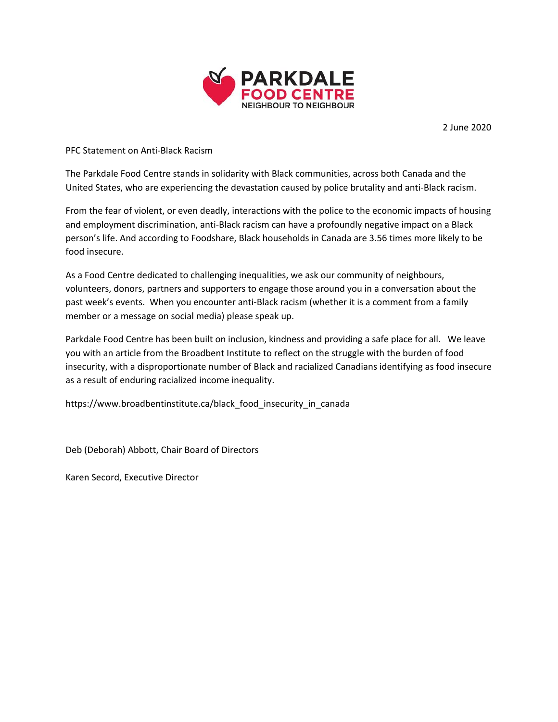

2 June 2020

PFC Statement on Anti-Black Racism

The Parkdale Food Centre stands in solidarity with Black communities, across both Canada and the United States, who are experiencing the devastation caused by police brutality and anti-Black racism.

From the fear of violent, or even deadly, interactions with the police to the economic impacts of housing and employment discrimination, anti-Black racism can have a profoundly negative impact on a Black person's life. And according to Foodshare, Black households in Canada are 3.56 times more likely to be food insecure.

As a Food Centre dedicated to challenging inequalities, we ask our community of neighbours, volunteers, donors, partners and supporters to engage those around you in a conversation about the past week's events. When you encounter anti-Black racism (whether it is a comment from a family member or a message on social media) please speak up.

Parkdale Food Centre has been built on inclusion, kindness and providing a safe place for all. We leave you with an article from the Broadbent Institute to reflect on the struggle with the burden of food insecurity, with a disproportionate number of Black and racialized Canadians identifying as food insecure as a result of enduring racialized income inequality.

https://www.broadbentinstitute.ca/black\_food\_insecurity\_in\_canada

Deb (Deborah) Abbott, Chair Board of Directors

Karen Secord, Executive Director